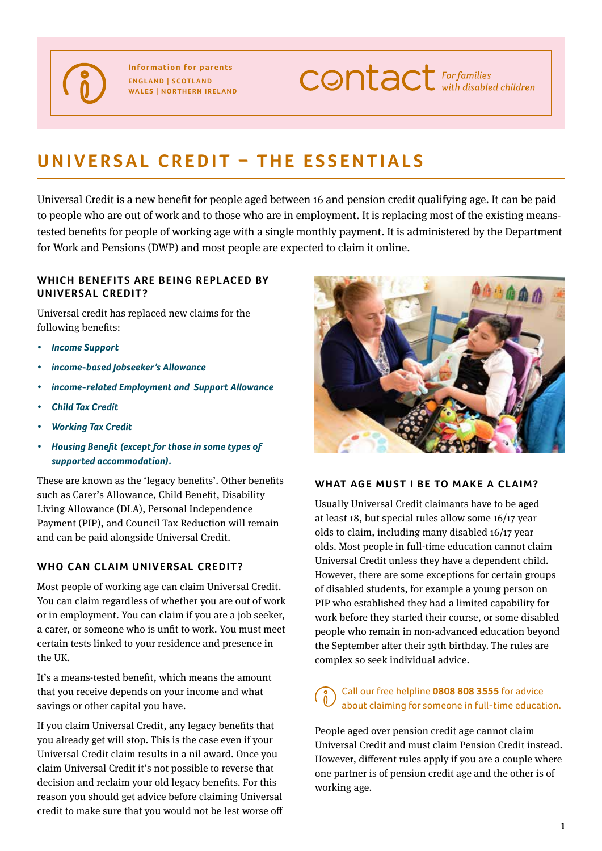

**Information for parents ENGLAND | SCOTLAND WALES | NORTHERN IRELAND**

# **CONTACT** For families

# **UNIVERSAL CREDIT – THE ESSENTIALS**

Universal Credit is a new benefit for people aged between 16 and pension credit qualifying age. It can be paid to people who are out of work and to those who are in employment. It is replacing most of the existing meanstested benefits for people of working age with a single monthly payment. It is administered by the Department for Work and Pensions (DWP) and most people are expected to claim it online.

#### WHICH BENEFITS ARE BEING REPLACED BY **UNIVERSAL CREDIT?**

Universal credit has replaced new claims for the following benefits:

- *• Income Support*
- *• income-based Jobseeker's Allowance*
- *• income-related Employment and Support Allowance*
- *• Child Tax Credit*
- *• Working Tax Credit*
- *• Housing Benefit (except for those in some types of supported accommodation).*

These are known as the 'legacy benefits'. Other benefits such as Carer's Allowance, Child Benefit, Disability Living Allowance (DLA), Personal Independence Payment (PIP), and Council Tax Reduction will remain and can be paid alongside Universal Credit.

#### **WHO CAN CLAIM UNIVERSAL CREDIT?**

Most people of working age can claim Universal Credit. You can claim regardless of whether you are out of work or in employment. You can claim if you are a job seeker, a carer, or someone who is unfit to work. You must meet certain tests linked to your residence and presence in the UK.

It's a means-tested benefit, which means the amount that you receive depends on your income and what savings or other capital you have.

If you claim Universal Credit, any legacy benefits that you already get will stop. This is the case even if your Universal Credit claim results in a nil award. Once you claim Universal Credit it's not possible to reverse that decision and reclaim your old legacy benefits. For this reason you should get advice before claiming Universal credit to make sure that you would not be lest worse off



#### **WHAT AGE MUST I BE TO MAKE A CLAIM?**

Usually Universal Credit claimants have to be aged at least 18, but special rules allow some 16/17 year olds to claim, including many disabled 16/17 year olds. Most people in full-time education cannot claim Universal Credit unless they have a dependent child. However, there are some exceptions for certain groups of disabled students, for example a young person on PIP who established they had a limited capability for work before they started their course, or some disabled people who remain in non-advanced education beyond the September after their 19th birthday. The rules are complex so seek individual advice.

Call our free helpline **0808 808 3555** for advice about claiming for someone in full-time education.

People aged over pension credit age cannot claim Universal Credit and must claim Pension Credit instead. However, different rules apply if you are a couple where one partner is of pension credit age and the other is of working age.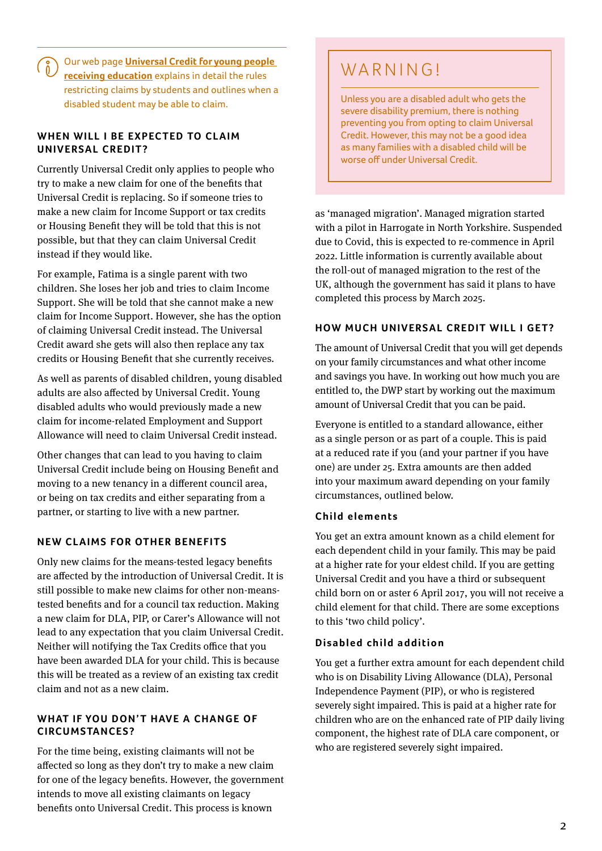Our web page **[Universal Credit for young people](https://contact.org.uk/help-for-families/information-advice-services/benefits-financial-help/benefits-and-tax-credits/universal-credit/universal-credit-for-young-people/)  [receiving education](https://contact.org.uk/help-for-families/information-advice-services/benefits-financial-help/benefits-and-tax-credits/universal-credit/universal-credit-for-young-people/)** explains in detail the rules restricting claims by students and outlines when a disabled student may be able to claim.

#### **WHEN WILL I BE EXPECTED TO CLAIM UNIVERSAL CREDIT?**

Currently Universal Credit only applies to people who try to make a new claim for one of the benefits that Universal Credit is replacing. So if someone tries to make a new claim for Income Support or tax credits or Housing Benefit they will be told that this is not possible, but that they can claim Universal Credit instead if they would like.

For example, Fatima is a single parent with two children. She loses her job and tries to claim Income Support. She will be told that she cannot make a new claim for Income Support. However, she has the option of claiming Universal Credit instead. The Universal Credit award she gets will also then replace any tax credits or Housing Benefit that she currently receives.

As well as parents of disabled children, young disabled adults are also affected by Universal Credit. Young disabled adults who would previously made a new claim for income-related Employment and Support Allowance will need to claim Universal Credit instead.

Other changes that can lead to you having to claim Universal Credit include being on Housing Benefit and moving to a new tenancy in a different council area, or being on tax credits and either separating from a partner, or starting to live with a new partner.

# **NEW CLAIMS FOR OTHER BENEFITS**

Only new claims for the means-tested legacy benefits are affected by the introduction of Universal Credit. It is still possible to make new claims for other non-meanstested benefits and for a council tax reduction. Making a new claim for DLA, PIP, or Carer's Allowance will not lead to any expectation that you claim Universal Credit. Neither will notifying the Tax Credits office that you have been awarded DLA for your child. This is because this will be treated as a review of an existing tax credit claim and not as a new claim.

#### WHAT IF YOU DON'T HAVE A CHANGE OF **C I RCU M S TA N C E S ?**

For the time being, existing claimants will not be affected so long as they don't try to make a new claim for one of the legacy benefits. However, the government intends to move all existing claimants on legacy benefits onto Universal Credit. This process is known

# WARNING!

Unless you are a disabled adult who gets the severe disability premium, there is nothing preventing you from opting to claim Universal Credit. However, this may not be a good idea as many families with a disabled child will be worse off under Universal Credit.

as 'managed migration'. Managed migration started with a pilot in Harrogate in North Yorkshire. Suspended due to Covid, this is expected to re-commence in April 2022. Little information is currently available about the roll-out of managed migration to the rest of the UK, although the government has said it plans to have completed this process by March 2025.

#### **HOW MUCH UNIVERSAL CREDIT WILL I GET?**

The amount of Universal Credit that you will get depends on your family circumstances and what other income and savings you have. In working out how much you are entitled to, the DWP start by working out the maximum amount of Universal Credit that you can be paid.

Everyone is entitled to a standard allowance, either as a single person or as part of a couple. This is paid at a reduced rate if you (and your partner if you have one) are under 25. Extra amounts are then added into your maximum award depending on your family circumstances, outlined below.

#### **C h i ld e le m e n t s**

You get an extra amount known as a child element for each dependent child in your family. This may be paid at a higher rate for your eldest child. If you are getting Universal Credit and you have a third or subsequent child born on or aster 6 April 2017, you will not receive a child element for that child. There are some exceptions to this 'two child policy'.

#### **Disabled child addition**

You get a further extra amount for each dependent child who is on Disability Living Allowance (DLA), Personal Independence Payment (PIP), or who is registered severely sight impaired. This is paid at a higher rate for children who are on the enhanced rate of PIP daily living component, the highest rate of DLA care component, or who are registered severely sight impaired.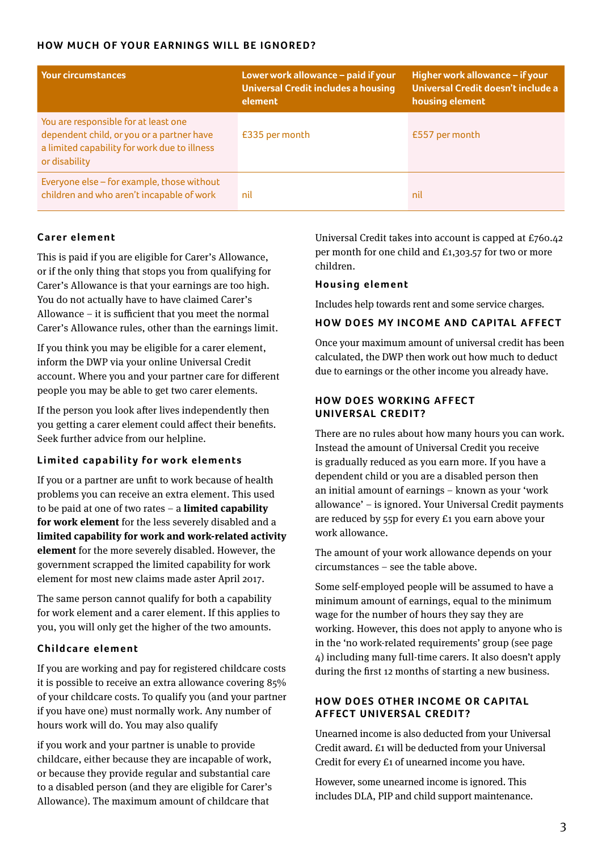# **HOW MUCH OF YOUR EARNINGS WILL BE IGNORED?**

| <b>Your circumstances</b>                                                                                                                          | Lower work allowance - paid if your<br><b>Universal Credit includes a housing</b><br>element | Higher work allowance $-$ if your<br>Universal Credit doesn't include a<br>housing element |
|----------------------------------------------------------------------------------------------------------------------------------------------------|----------------------------------------------------------------------------------------------|--------------------------------------------------------------------------------------------|
| You are responsible for at least one<br>dependent child, or you or a partner have<br>a limited capability for work due to illness<br>or disability | £335 per month                                                                               | £557 per month                                                                             |
| Everyone else - for example, those without<br>children and who aren't incapable of work                                                            | nil                                                                                          | nil                                                                                        |

# **Carer element**

This is paid if you are eligible for Carer's Allowance, or if the only thing that stops you from qualifying for Carer's Allowance is that your earnings are too high. You do not actually have to have claimed Carer's Allowance – it is sufficient that you meet the normal Carer's Allowance rules, other than the earnings limit.

If you think you may be eligible for a carer element, inform the DWP via your online Universal Credit account. Where you and your partner care for different people you may be able to get two carer elements.

If the person you look after lives independently then you getting a carer element could affect their benefits. Seek further advice from our helpline.

#### **Limited capability for work elements**

If you or a partner are unfit to work because of health problems you can receive an extra element. This used to be paid at one of two rates – a **limited capability for work element** for the less severely disabled and a **limited capability for work and work-related activity element** for the more severely disabled. However, the government scrapped the limited capability for work element for most new claims made aster April 2017.

The same person cannot qualify for both a capability for work element and a carer element. If this applies to you, you will only get the higher of the two amounts.

#### **Childcare element**

If you are working and pay for registered childcare costs it is possible to receive an extra allowance covering 85% of your childcare costs. To qualify you (and your partner if you have one) must normally work. Any number of hours work will do. You may also qualify

if you work and your partner is unable to provide childcare, either because they are incapable of work, or because they provide regular and substantial care to a disabled person (and they are eligible for Carer's Allowance). The maximum amount of childcare that

Universal Credit takes into account is capped at £760.42 per month for one child and £1,303.57 for two or more children.

#### **H o u s i n g e le m e n t**

Includes help towards rent and some service charges.

#### **HOW DOES MY INCOME AND CAPITAL AFFECT**

Once your maximum amount of universal credit has been calculated, the DWP then work out how much to deduct due to earnings or the other income you already have.

# **HOW DOES WORKING AFFECT UNIVERSAL CREDIT?**

There are no rules about how many hours you can work. Instead the amount of Universal Credit you receive is gradually reduced as you earn more. If you have a dependent child or you are a disabled person then an initial amount of earnings – known as your 'work allowance' – is ignored. Your Universal Credit payments are reduced by 55p for every £1 you earn above your work allowance.

The amount of your work allowance depends on your circumstances – see the table above.

Some self-employed people will be assumed to have a minimum amount of earnings, equal to the minimum wage for the number of hours they say they are working. However, this does not apply to anyone who is in the 'no work-related requirements' group (see page 4) including many full-time carers. It also doesn't apply during the first 12 months of starting a new business.

# **HOW DOES OTHER INCOME OR CAPITAL AFFECT UNIVERSAL CREDIT?**

Unearned income is also deducted from your Universal Credit award. £1 will be deducted from your Universal Credit for every £1 of unearned income you have.

However, some unearned income is ignored. This includes DLA, PIP and child support maintenance.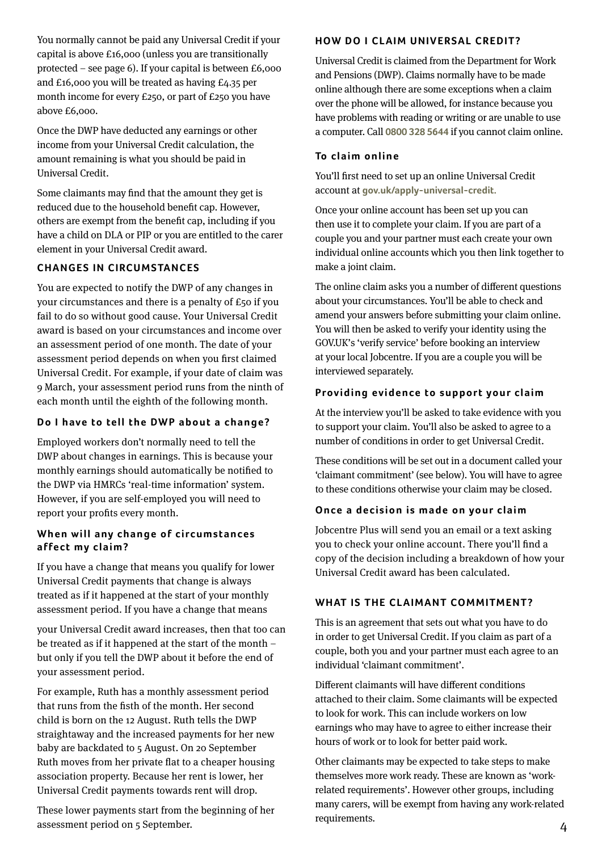You normally cannot be paid any Universal Credit if your capital is above £16,000 (unless you are transitionally protected – see page 6). If your capital is between £6,000 and £16,000 you will be treated as having £4.35 per month income for every £250, or part of £250 you have above £6,000.

Once the DWP have deducted any earnings or other income from your Universal Credit calculation, the amount remaining is what you should be paid in Universal Credit.

Some claimants may find that the amount they get is reduced due to the household benefit cap. However, others are exempt from the benefit cap, including if you have a child on DLA or PIP or you are entitled to the carer element in your Universal Credit award.

# **CHANGES IN CIRCUMSTANCES**

You are expected to notify the DWP of any changes in your circumstances and there is a penalty of £50 if you fail to do so without good cause. Your Universal Credit award is based on your circumstances and income over an assessment period of one month. The date of your assessment period depends on when you first claimed Universal Credit. For example, if your date of claim was 9 March, your assessment period runs from the ninth of each month until the eighth of the following month.

# **Do I have to tell the DWP about a change?**

Employed workers don't normally need to tell the DWP about changes in earnings. This is because your monthly earnings should automatically be notified to the DWP via HMRCs 'real-time information' system. However, if you are self-employed you will need to report your profits every month.

#### **When will any change of circumstances affect my claim?**

If you have a change that means you qualify for lower Universal Credit payments that change is always treated as if it happened at the start of your monthly assessment period. If you have a change that means

your Universal Credit award increases, then that too can be treated as if it happened at the start of the month – but only if you tell the DWP about it before the end of your assessment period.

For example, Ruth has a monthly assessment period that runs from the fisth of the month. Her second child is born on the 12 August. Ruth tells the DWP straightaway and the increased payments for her new baby are backdated to 5 August. On 20 September Ruth moves from her private flat to a cheaper housing association property. Because her rent is lower, her Universal Credit payments towards rent will drop.

These lower payments start from the beginning of her assessment period on 5 September.

#### **HOW DO I CLAIM UNIVERSAL CREDIT?**

Universal Credit is claimed from the Department for Work and Pensions (DWP). Claims normally have to be made online although there are some exceptions when a claim over the phone will be allowed, for instance because you have problems with reading or writing or are unable to use a computer. Call **0800 328 5644** if you cannot claim online.

# **To claim online**

You'll first need to set up an online Universal Credit account at **[gov.uk/apply-universal-credit.](https://www.gov.uk/apply-universal-credit)** 

Once your online account has been set up you can then use it to complete your claim. If you are part of a couple you and your partner must each create your own individual online accounts which you then link together to make a joint claim.

The online claim asks you a number of different questions about your circumstances. You'll be able to check and amend your answers before submitting your claim online. You will then be asked to verify your identity using the GOV.UK's 'verify service' before booking an interview at your local Jobcentre. If you are a couple you will be interviewed separately.

# **Providing evidence to support your claim**

At the interview you'll be asked to take evidence with you to support your claim. You'll also be asked to agree to a number of conditions in order to get Universal Credit.

These conditions will be set out in a document called your 'claimant commitment' (see below). You will have to agree to these conditions otherwise your claim may be closed.

#### **Once a decision is made on your claim**

Jobcentre Plus will send you an email or a text asking you to check your online account. There you'll find a copy of the decision including a breakdown of how your Universal Credit award has been calculated.

# WHAT IS THE CLAIMANT COMMITMENT?

This is an agreement that sets out what you have to do in order to get Universal Credit. If you claim as part of a couple, both you and your partner must each agree to an individual 'claimant commitment'.

Different claimants will have different conditions attached to their claim. Some claimants will be expected to look for work. This can include workers on low earnings who may have to agree to either increase their hours of work or to look for better paid work.

Other claimants may be expected to take steps to make themselves more work ready. These are known as 'workrelated requirements'. However other groups, including many carers, will be exempt from having any work-related requirements.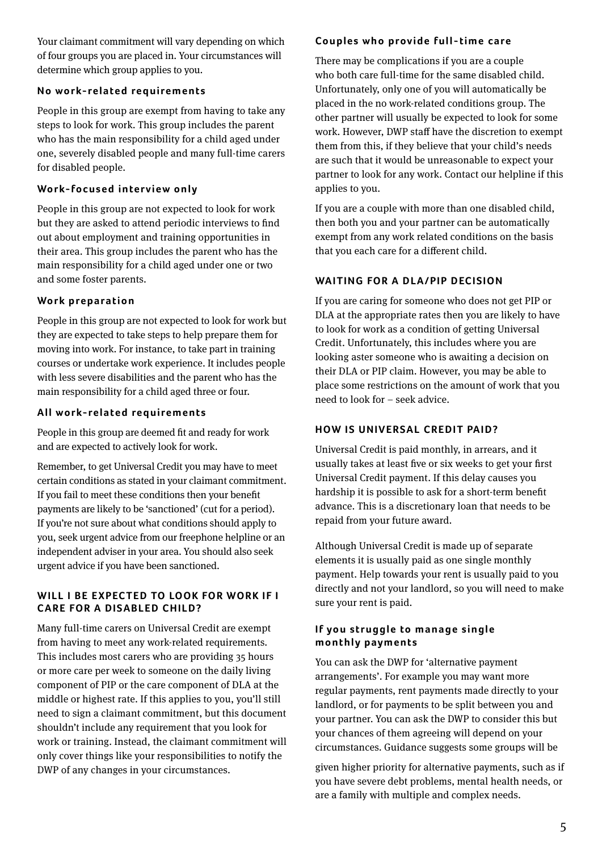Your claimant commitment will vary depending on which of four groups you are placed in. Your circumstances will determine which group applies to you.

#### **No work-related requirements**

People in this group are exempt from having to take any steps to look for work. This group includes the parent who has the main responsibility for a child aged under one, severely disabled people and many full-time carers for disabled people.

# Work-focused interview only

People in this group are not expected to look for work but they are asked to attend periodic interviews to find out about employment and training opportunities in their area. This group includes the parent who has the main responsibility for a child aged under one or two and some foster parents.

#### **Work preparation**

People in this group are not expected to look for work but they are expected to take steps to help prepare them for moving into work. For instance, to take part in training courses or undertake work experience. It includes people with less severe disabilities and the parent who has the main responsibility for a child aged three or four.

#### **All work-related requirements**

People in this group are deemed fit and ready for work and are expected to actively look for work.

Remember, to get Universal Credit you may have to meet certain conditions as stated in your claimant commitment. If you fail to meet these conditions then your benefit payments are likely to be 'sanctioned' (cut for a period). If you're not sure about what conditions should apply to you, seek urgent advice from our freephone helpline or an independent adviser in your area. You should also seek urgent advice if you have been sanctioned.

#### WILL I BE EXPECTED TO LOOK FOR WORK IF I **CARE FOR A DISABLED CHILD?**

Many full-time carers on Universal Credit are exempt from having to meet any work-related requirements. This includes most carers who are providing 35 hours or more care per week to someone on the daily living component of PIP or the care component of DLA at the middle or highest rate. If this applies to you, you'll still need to sign a claimant commitment, but this document shouldn't include any requirement that you look for work or training. Instead, the claimant commitment will only cover things like your responsibilities to notify the DWP of any changes in your circumstances.

#### **Couples who provide full-time care**

There may be complications if you are a couple who both care full-time for the same disabled child. Unfortunately, only one of you will automatically be placed in the no work-related conditions group. The other partner will usually be expected to look for some work. However, DWP staff have the discretion to exempt them from this, if they believe that your child's needs are such that it would be unreasonable to expect your partner to look for any work. Contact our helpline if this applies to you.

If you are a couple with more than one disabled child, then both you and your partner can be automatically exempt from any work related conditions on the basis that you each care for a different child.

# **WAITING FOR A DLA/PIP DECISION**

If you are caring for someone who does not get PIP or DLA at the appropriate rates then you are likely to have to look for work as a condition of getting Universal Credit. Unfortunately, this includes where you are looking aster someone who is awaiting a decision on their DLA or PIP claim. However, you may be able to place some restrictions on the amount of work that you need to look for – seek advice.

#### **HOW IS UNIVERSAL CREDIT PAID?**

Universal Credit is paid monthly, in arrears, and it usually takes at least five or six weeks to get your first Universal Credit payment. If this delay causes you hardship it is possible to ask for a short-term benefit advance. This is a discretionary loan that needs to be repaid from your future award.

Although Universal Credit is made up of separate elements it is usually paid as one single monthly payment. Help towards your rent is usually paid to you directly and not your landlord, so you will need to make sure your rent is paid.

#### **If you struggle to manage single m o n t h l y p ay m e n t s**

You can ask the DWP for 'alternative payment arrangements'. For example you may want more regular payments, rent payments made directly to your landlord, or for payments to be split between you and your partner. You can ask the DWP to consider this but your chances of them agreeing will depend on your circumstances. Guidance suggests some groups will be

given higher priority for alternative payments, such as if you have severe debt problems, mental health needs, or are a family with multiple and complex needs.